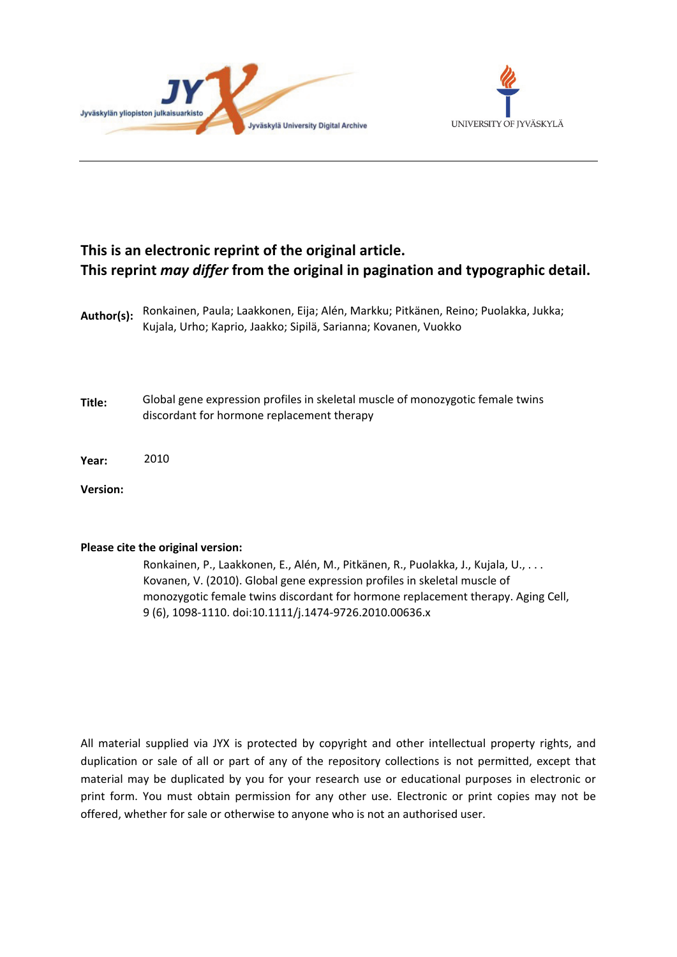



## **This is an electronic reprint of the original article. This reprint** *may differ* **from the original in pagination and typographic detail.**

| Author(s):               | Ronkainen, Paula; Laakkonen, Eija; Alén, Markku; Pitkänen, Reino; Puolakka, Jukka;<br>Kujala, Urho; Kaprio, Jaakko; Sipilä, Sarianna; Kovanen, Vuokko |
|--------------------------|-------------------------------------------------------------------------------------------------------------------------------------------------------|
| Title:                   | Global gene expression profiles in skeletal muscle of monozygotic female twins<br>discordant for hormone replacement therapy                          |
| Year:<br><b>Version:</b> | 2010                                                                                                                                                  |
|                          |                                                                                                                                                       |

## **Please cite the original version:**

Ronkainen, P., Laakkonen, E., Alén, M., Pitkänen, R., Puolakka, J., Kujala, U., . . . Kovanen, V. (2010). Global gene expression profiles in skeletal muscle of monozygotic female twins discordant for hormone replacement therapy. Aging Cell, 9 (6), 1098-1110. doi:10.1111/j.1474-9726.2010.00636.x

All material supplied via JYX is protected by copyright and other intellectual property rights, and duplication or sale of all or part of any of the repository collections is not permitted, except that material may be duplicated by you for your research use or educational purposes in electronic or print form. You must obtain permission for any other use. Electronic or print copies may not be offered, whether for sale or otherwise to anyone who is not an authorised user.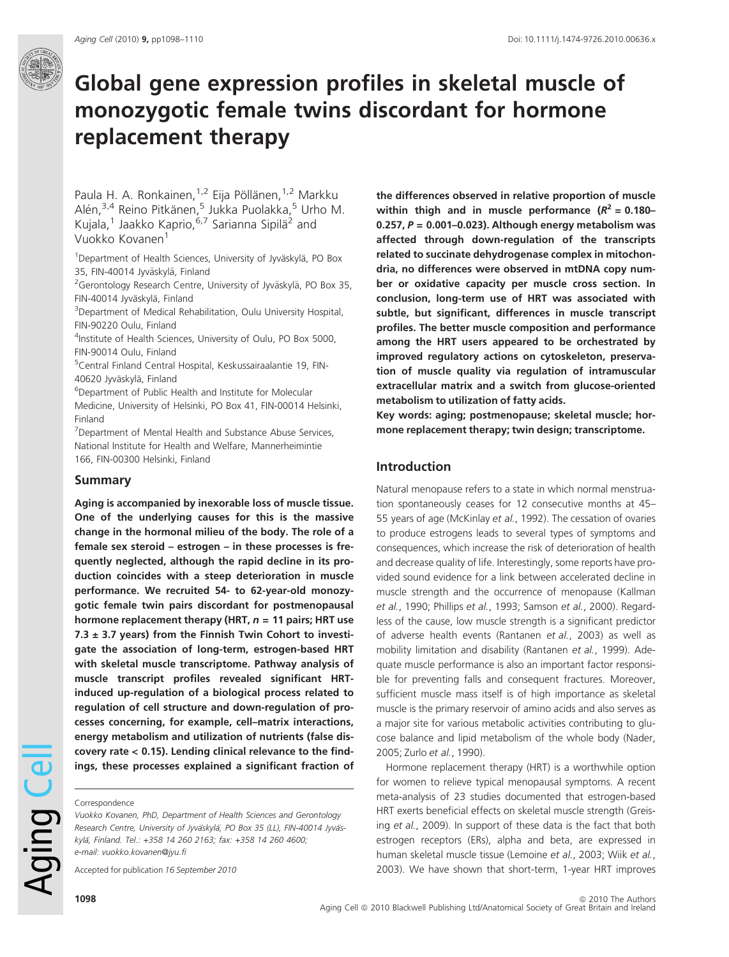

# Global gene expression profiles in skeletal muscle of monozygotic female twins discordant for hormone replacement therapy

Paula H. A. Ronkainen,<sup>1,2</sup> Eija Pöllänen,<sup>1,2</sup> Markku Alén,<sup>3,4</sup> Reino Pitkänen,<sup>5</sup> Jukka Puolakka,<sup>5</sup> Urho M. Kujala,<sup>1</sup> Jaakko Kaprio,<sup>6,7</sup> Sarianna Sipilä<sup>2</sup> and Vuokko Kovanen<sup>1</sup>

<sup>1</sup>Department of Health Sciences, University of Jyväskylä, PO Box 35, FIN-40014 Jyväskylä, Finland

<sup>2</sup> Gerontology Research Centre, University of Jyväskylä, PO Box 35, FIN-40014 Jyväskylä, Finland

<sup>3</sup>Department of Medical Rehabilitation, Oulu University Hospital, FIN-90220 Oulu, Finland

4 Institute of Health Sciences, University of Oulu, PO Box 5000, FIN-90014 Oulu, Finland

5 Central Finland Central Hospital, Keskussairaalantie 19, FIN-40620 Jyväskylä, Finland

6 Department of Public Health and Institute for Molecular Medicine, University of Helsinki, PO Box 41, FIN-00014 Helsinki, Finland

<sup>7</sup> Department of Mental Health and Substance Abuse Services, National Institute for Health and Welfare, Mannerheimintie 166, FIN-00300 Helsinki, Finland

#### Summary

Aging is accompanied by inexorable loss of muscle tissue. One of the underlying causes for this is the massive change in the hormonal milieu of the body. The role of a female sex steroid – estrogen – in these processes is frequently neglected, although the rapid decline in its production coincides with a steep deterioration in muscle performance. We recruited 54- to 62-year-old monozygotic female twin pairs discordant for postmenopausal hormone replacement therapy (HRT,  $n = 11$  pairs; HRT use 7.3  $\pm$  3.7 years) from the Finnish Twin Cohort to investigate the association of long-term, estrogen-based HRT with skeletal muscle transcriptome. Pathway analysis of muscle transcript profiles revealed significant HRTinduced up-regulation of a biological process related to regulation of cell structure and down-regulation of processes concerning, for example, cell–matrix interactions, energy metabolism and utilization of nutrients (false discovery rate < 0.15). Lending clinical relevance to the findings, these processes explained a significant fraction of

Correspondence

Accepted for publication 16 September 2010

the differences observed in relative proportion of muscle within thigh and in muscle performance  $(R^2 = 0.180 -$ 0.257,  $P = 0.001 - 0.023$ ). Although energy metabolism was affected through down-regulation of the transcripts related to succinate dehydrogenase complex in mitochondria, no differences were observed in mtDNA copy number or oxidative capacity per muscle cross section. In conclusion, long-term use of HRT was associated with subtle, but significant, differences in muscle transcript profiles. The better muscle composition and performance among the HRT users appeared to be orchestrated by improved regulatory actions on cytoskeleton, preservation of muscle quality via regulation of intramuscular extracellular matrix and a switch from glucose-oriented metabolism to utilization of fatty acids.

Key words: aging; postmenopause; skeletal muscle; hormone replacement therapy; twin design; transcriptome.

## Introduction

Natural menopause refers to a state in which normal menstruation spontaneously ceases for 12 consecutive months at 45– 55 years of age (McKinlay et al., 1992). The cessation of ovaries to produce estrogens leads to several types of symptoms and consequences, which increase the risk of deterioration of health and decrease quality of life. Interestingly, some reports have provided sound evidence for a link between accelerated decline in muscle strength and the occurrence of menopause (Kallman et al., 1990; Phillips et al., 1993; Samson et al., 2000). Regardless of the cause, low muscle strength is a significant predictor of adverse health events (Rantanen et al., 2003) as well as mobility limitation and disability (Rantanen et al., 1999). Adequate muscle performance is also an important factor responsible for preventing falls and consequent fractures. Moreover, sufficient muscle mass itself is of high importance as skeletal muscle is the primary reservoir of amino acids and also serves as a major site for various metabolic activities contributing to glucose balance and lipid metabolism of the whole body (Nader, 2005; Zurlo et al., 1990).

Hormone replacement therapy (HRT) is a worthwhile option for women to relieve typical menopausal symptoms. A recent meta-analysis of 23 studies documented that estrogen-based HRT exerts beneficial effects on skeletal muscle strength (Greising et al., 2009). In support of these data is the fact that both estrogen receptors (ERs), alpha and beta, are expressed in human skeletal muscle tissue (Lemoine et al., 2003; Wiik et al., 2003). We have shown that short-term, 1-year HRT improves

Vuokko Kovanen, PhD, Department of Health Sciences and Gerontology Research Centre, University of Jyväskylä, PO Box 35 (LL), FIN-40014 Jyväskylä, Finland. Tel.: +358 14 260 2163; fax: +358 14 260 4600; e-mail: vuokko.kovanen@jyu.fi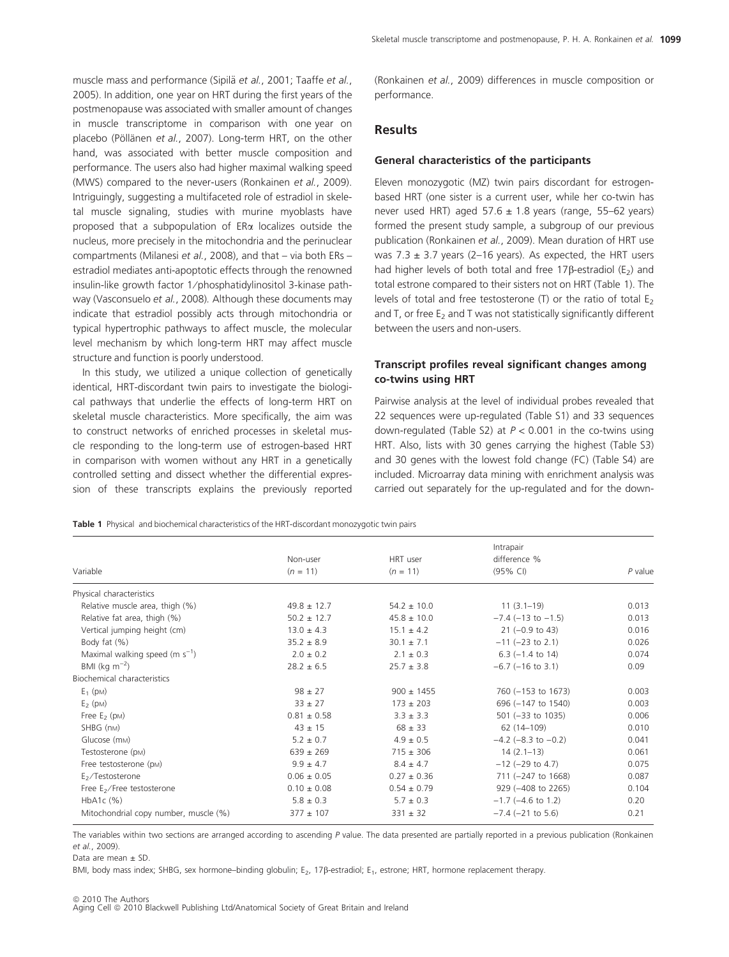muscle mass and performance (Sipilä et al., 2001; Taaffe et al., 2005). In addition, one year on HRT during the first years of the postmenopause was associated with smaller amount of changes in muscle transcriptome in comparison with one year on placebo (Pöllänen et al., 2007). Long-term HRT, on the other hand, was associated with better muscle composition and performance. The users also had higher maximal walking speed (MWS) compared to the never-users (Ronkainen et al., 2009). Intriguingly, suggesting a multifaceted role of estradiol in skeletal muscle signaling, studies with murine myoblasts have proposed that a subpopulation of ERa localizes outside the nucleus, more precisely in the mitochondria and the perinuclear compartments (Milanesi et al., 2008), and that – via both ERs – estradiol mediates anti-apoptotic effects through the renowned insulin-like growth factor 1/phosphatidylinositol 3-kinase pathway (Vasconsuelo et al., 2008). Although these documents may indicate that estradiol possibly acts through mitochondria or typical hypertrophic pathways to affect muscle, the molecular level mechanism by which long-term HRT may affect muscle structure and function is poorly understood.

In this study, we utilized a unique collection of genetically identical, HRT-discordant twin pairs to investigate the biological pathways that underlie the effects of long-term HRT on skeletal muscle characteristics. More specifically, the aim was to construct networks of enriched processes in skeletal muscle responding to the long-term use of estrogen-based HRT in comparison with women without any HRT in a genetically controlled setting and dissect whether the differential expression of these transcripts explains the previously reported

(Ronkainen et al., 2009) differences in muscle composition or performance.

## Results

#### General characteristics of the participants

Eleven monozygotic (MZ) twin pairs discordant for estrogenbased HRT (one sister is a current user, while her co-twin has never used HRT) aged  $57.6 \pm 1.8$  years (range,  $55-62$  years) formed the present study sample, a subgroup of our previous publication (Ronkainen et al., 2009). Mean duration of HRT use was  $7.3 \pm 3.7$  years (2-16 years). As expected, the HRT users had higher levels of both total and free 17 $\beta$ -estradiol (E<sub>2</sub>) and total estrone compared to their sisters not on HRT (Table 1). The levels of total and free testosterone (T) or the ratio of total  $E<sub>2</sub>$ and T, or free  $E_2$  and T was not statistically significantly different between the users and non-users.

## Transcript profiles reveal significant changes among co-twins using HRT

Pairwise analysis at the level of individual probes revealed that 22 sequences were up-regulated (Table S1) and 33 sequences down-regulated (Table S2) at  $P < 0.001$  in the co-twins using HRT. Also, lists with 30 genes carrying the highest (Table S3) and 30 genes with the lowest fold change (FC) (Table S4) are included. Microarray data mining with enrichment analysis was carried out separately for the up-regulated and for the down-

Intrapair

Table 1 Physical and biochemical characteristics of the HRT-discordant monozygotic twin pairs

The variables within two sections are arranged according to ascending P value. The data presented are partially reported in a previous publication (Ronkainen et al., 2009).

Data are mean ± SD.

BMI, body mass index; SHBG, sex hormone-binding globulin; E<sub>2</sub>, 17 $\beta$ -estradiol; E<sub>1</sub>, estrone; HRT, hormone replacement therapy.

|                                        | Non-user        | HRT user        | 11 Iu apan<br>difference %  |         |
|----------------------------------------|-----------------|-----------------|-----------------------------|---------|
| Variable                               | $(n = 11)$      | $(n = 11)$      | (95% CI)                    | P value |
| Physical characteristics               |                 |                 |                             |         |
| Relative muscle area, thigh (%)        | $49.8 \pm 12.7$ | $54.2 \pm 10.0$ | $11(3.1-19)$                | 0.013   |
| Relative fat area, thigh (%)           | $50.2 \pm 12.7$ | $45.8 \pm 10.0$ | $-7.4$ ( $-13$ to $-1.5$ )  | 0.013   |
| Vertical jumping height (cm)           | $13.0 \pm 4.3$  | $15.1 \pm 4.2$  | $21 (-0.9 to 43)$           | 0.016   |
| Body fat (%)                           | $35.2 \pm 8.9$  | $30.1 \pm 7.1$  | $-11$ ( $-23$ to 2.1)       | 0.026   |
| Maximal walking speed (m $s^{-1}$ )    | $2.0 \pm 0.2$   | $2.1 \pm 0.3$   | $6.3$ ( $-1.4$ to 14)       | 0.074   |
| BMI (kg $m^{-2}$ )                     | $28.2 \pm 6.5$  | $25.7 \pm 3.8$  | $-6.7$ ( $-16$ to 3.1)      | 0.09    |
| Biochemical characteristics            |                 |                 |                             |         |
| $E_1$ (pm)                             | $98 \pm 27$     | $900 \pm 1455$  | 760 (-153 to 1673)          | 0.003   |
| $E_2$ (pm)                             | $33 \pm 27$     | $173 \pm 203$   | 696 (-147 to 1540)          | 0.003   |
| Free $E_2$ (p <sub>M</sub> )           | $0.81 \pm 0.58$ | $3.3 \pm 3.3$   | 501 $(-33$ to 1035)         | 0.006   |
| SHBG (n <sub>M</sub> )                 | $43 \pm 15$     | $68 \pm 33$     | 62 (14-109)                 | 0.010   |
| Glucose (m <sub>M</sub> )              | $5.2 \pm 0.7$   | $4.9 \pm 0.5$   | $-4.2$ ( $-8.3$ to $-0.2$ ) | 0.041   |
| Testosterone (pm)                      | $639 + 269$     | $715 + 306$     | $14(2.1-13)$                | 0.061   |
| Free testosterone (pm)                 | $9.9 \pm 4.7$   | $8.4 \pm 4.7$   | $-12$ ( $-29$ to 4.7)       | 0.075   |
| E <sub>2</sub> /Testosterone           | $0.06 \pm 0.05$ | $0.27 \pm 0.36$ | 711 (-247 to 1668)          | 0.087   |
| Free E <sub>2</sub> /Free testosterone | $0.10 \pm 0.08$ | $0.54 \pm 0.79$ | 929 (-408 to 2265)          | 0.104   |
| HbA1c (%)                              | $5.8 \pm 0.3$   | $5.7 \pm 0.3$   | $-1.7$ ( $-4.6$ to 1.2)     | 0.20    |
| Mitochondrial copy number, muscle (%)  | $377 \pm 107$   | $331 \pm 32$    | $-7.4$ ( $-21$ to 5.6)      | 0.21    |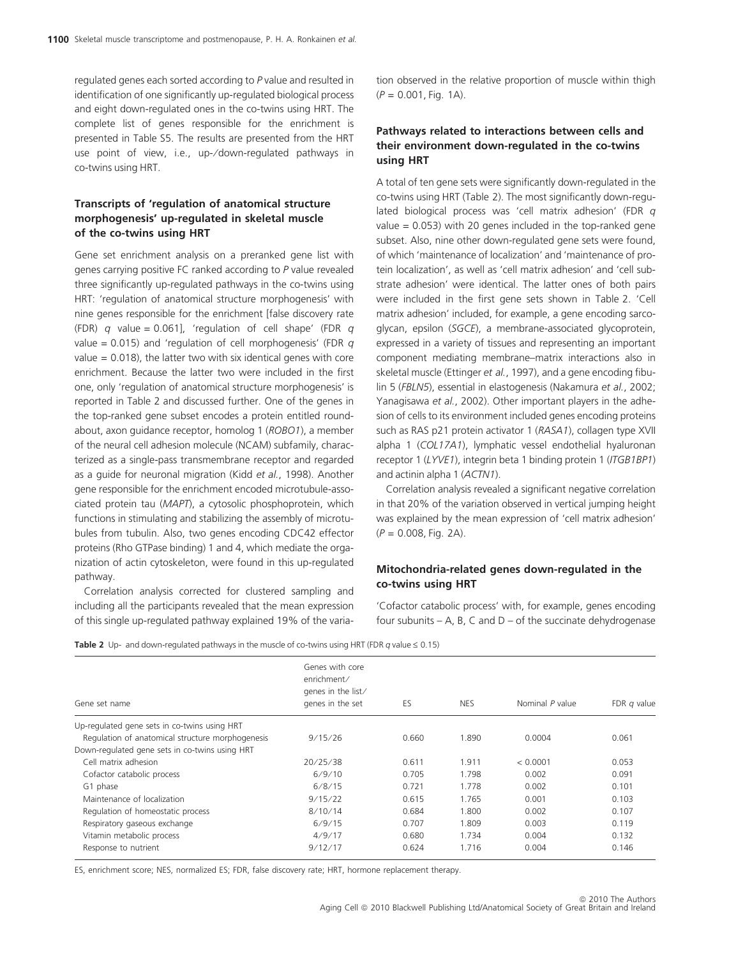regulated genes each sorted according to P value and resulted in identification of one significantly up-regulated biological process and eight down-regulated ones in the co-twins using HRT. The complete list of genes responsible for the enrichment is presented in Table S5. The results are presented from the HRT use point of view, i.e., up-⁄ down-regulated pathways in co-twins using HRT.

## Transcripts of 'regulation of anatomical structure morphogenesis' up-regulated in skeletal muscle of the co-twins using HRT

Gene set enrichment analysis on a preranked gene list with genes carrying positive FC ranked according to P value revealed three significantly up-regulated pathways in the co-twins using HRT: 'regulation of anatomical structure morphogenesis' with nine genes responsible for the enrichment [false discovery rate (FDR) q value = 0.061], 'regulation of cell shape' (FDR q value = 0.015) and 'regulation of cell morphogenesis' (FDR  $q$ value  $= 0.018$ ), the latter two with six identical genes with core enrichment. Because the latter two were included in the first one, only 'regulation of anatomical structure morphogenesis' is reported in Table 2 and discussed further. One of the genes in the top-ranked gene subset encodes a protein entitled roundabout, axon guidance receptor, homolog 1 (ROBO1), a member of the neural cell adhesion molecule (NCAM) subfamily, characterized as a single-pass transmembrane receptor and regarded as a guide for neuronal migration (Kidd et al., 1998). Another gene responsible for the enrichment encoded microtubule-associated protein tau (MAPT), a cytosolic phosphoprotein, which functions in stimulating and stabilizing the assembly of microtubules from tubulin. Also, two genes encoding CDC42 effector proteins (Rho GTPase binding) 1 and 4, which mediate the organization of actin cytoskeleton, were found in this up-regulated pathway.

Correlation analysis corrected for clustered sampling and including all the participants revealed that the mean expression of this single up-regulated pathway explained 19% of the varia-

tion observed in the relative proportion of muscle within thigh  $(P = 0.001, Fig. 1A)$ .

## Pathways related to interactions between cells and their environment down-regulated in the co-twins using HRT

A total of ten gene sets were significantly down-regulated in the co-twins using HRT (Table 2). The most significantly down-regulated biological process was 'cell matrix adhesion' (FDR q value  $= 0.053$ ) with 20 genes included in the top-ranked gene subset. Also, nine other down-regulated gene sets were found, of which 'maintenance of localization' and 'maintenance of protein localization', as well as 'cell matrix adhesion' and 'cell substrate adhesion' were identical. The latter ones of both pairs were included in the first gene sets shown in Table 2. 'Cell matrix adhesion' included, for example, a gene encoding sarcoglycan, epsilon (SGCE), a membrane-associated glycoprotein, expressed in a variety of tissues and representing an important component mediating membrane–matrix interactions also in skeletal muscle (Ettinger et al., 1997), and a gene encoding fibulin 5 (FBLN5), essential in elastogenesis (Nakamura et al., 2002; Yanagisawa et al., 2002). Other important players in the adhesion of cells to its environment included genes encoding proteins such as RAS p21 protein activator 1 (RASA1), collagen type XVII alpha 1 (COL17A1), lymphatic vessel endothelial hyaluronan receptor 1 (LYVE1), integrin beta 1 binding protein 1 (ITGB1BP1) and actinin alpha 1 (ACTN1).

Correlation analysis revealed a significant negative correlation in that 20% of the variation observed in vertical jumping height was explained by the mean expression of 'cell matrix adhesion'  $(P = 0.008, Fig. 2A)$ .

## Mitochondria-related genes down-regulated in the co-twins using HRT

'Cofactor catabolic process' with, for example, genes encoding four subunits  $- A$ , B, C and D  $-$  of the succinate dehydrogenase

| Table 2 Up- and down-regulated pathways in the muscle of co-twins using HRT (FDR q value $\leq 0.15$ ) |  |
|--------------------------------------------------------------------------------------------------------|--|
|--------------------------------------------------------------------------------------------------------|--|

| Gene set name                                    | Genes with core<br>enrichment/<br>genes in the list/<br>ES<br>genes in the set |       | <b>NES</b> | Nominal P value | FDR $q$ value |
|--------------------------------------------------|--------------------------------------------------------------------------------|-------|------------|-----------------|---------------|
| Up-regulated gene sets in co-twins using HRT     |                                                                                |       |            |                 |               |
| Regulation of anatomical structure morphogenesis | 9/15/26                                                                        | 0.660 | 1.890      | 0.0004          | 0.061         |
| Down-regulated gene sets in co-twins using HRT   |                                                                                |       |            |                 |               |
| Cell matrix adhesion                             | 20/25/38                                                                       | 0.611 | 1.911      | < 0.0001        | 0.053         |
| Cofactor catabolic process                       | 6/9/10                                                                         | 0.705 | 1.798      | 0.002           | 0.091         |
| G1 phase                                         | 6/8/15                                                                         | 0.721 | 1.778      | 0.002           | 0.101         |
| Maintenance of localization                      | 9/15/22                                                                        | 0.615 | 1.765      | 0.001           | 0.103         |
| Regulation of homeostatic process                | 8/10/14                                                                        | 0.684 | 1.800      | 0.002           | 0.107         |
| Respiratory gaseous exchange                     | 6/9/15                                                                         | 0.707 | 1.809      | 0.003           | 0.119         |
| Vitamin metabolic process                        | 4/9/17                                                                         | 0.680 | 1.734      | 0.004           | 0.132         |
| Response to nutrient                             | 9/12/17                                                                        | 0.624 | 1.716      | 0.004           | 0.146         |

ES, enrichment score; NES, normalized ES; FDR, false discovery rate; HRT, hormone replacement therapy.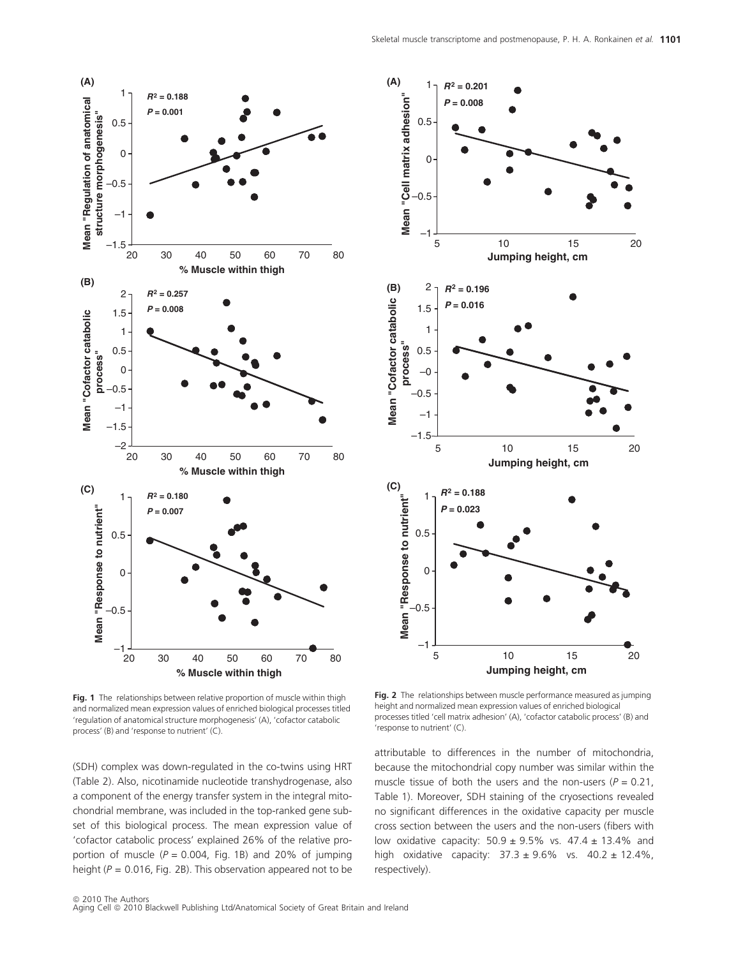

Fig. 1 The relationships between relative proportion of muscle within thigh and normalized mean expression values of enriched biological processes titled 'regulation of anatomical structure morphogenesis' (A), 'cofactor catabolic process' (B) and 'response to nutrient' (C).

(SDH) complex was down-regulated in the co-twins using HRT (Table 2). Also, nicotinamide nucleotide transhydrogenase, also a component of the energy transfer system in the integral mitochondrial membrane, was included in the top-ranked gene subset of this biological process. The mean expression value of 'cofactor catabolic process' explained 26% of the relative proportion of muscle ( $P = 0.004$ , Fig. 1B) and 20% of jumping height ( $P = 0.016$ , Fig. 2B). This observation appeared not to be



Fig. 2 The relationships between muscle performance measured as jumping height and normalized mean expression values of enriched biological processes titled 'cell matrix adhesion' (A), 'cofactor catabolic process' (B) and 'response to nutrient' (C).

attributable to differences in the number of mitochondria, because the mitochondrial copy number was similar within the muscle tissue of both the users and the non-users ( $P = 0.21$ , Table 1). Moreover, SDH staining of the cryosections revealed no significant differences in the oxidative capacity per muscle cross section between the users and the non-users (fibers with low oxidative capacity:  $50.9 \pm 9.5\%$  vs.  $47.4 \pm 13.4\%$  and high oxidative capacity:  $37.3 \pm 9.6\%$  vs.  $40.2 \pm 12.4\%$ , respectively).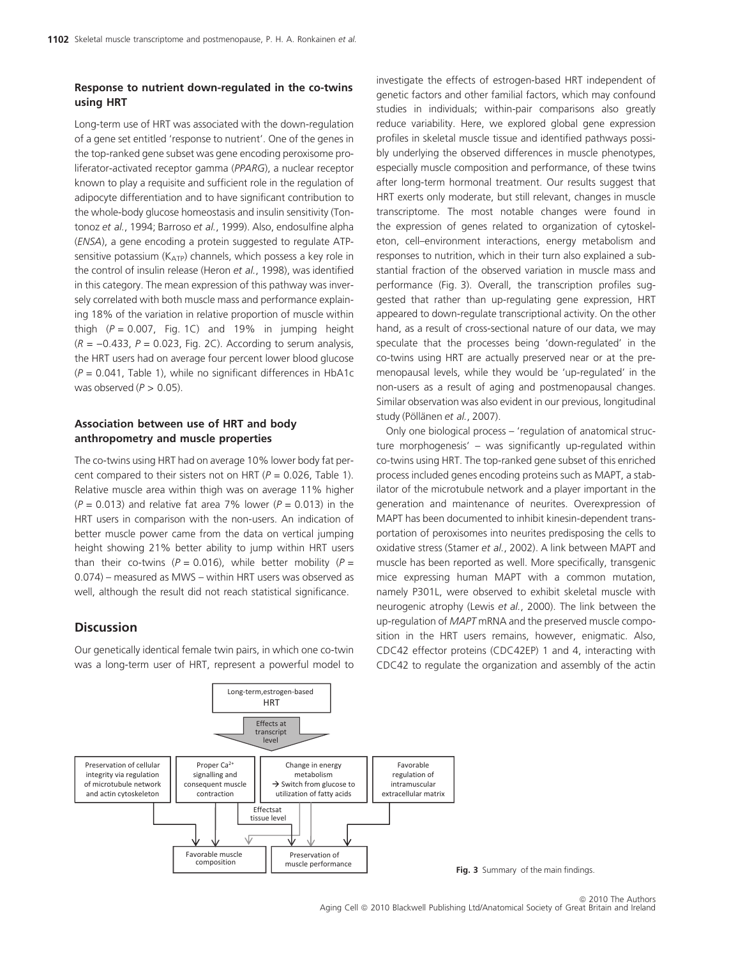## Response to nutrient down-regulated in the co-twins using HRT

Long-term use of HRT was associated with the down-regulation of a gene set entitled 'response to nutrient'. One of the genes in the top-ranked gene subset was gene encoding peroxisome proliferator-activated receptor gamma (PPARG), a nuclear receptor known to play a requisite and sufficient role in the regulation of adipocyte differentiation and to have significant contribution to the whole-body glucose homeostasis and insulin sensitivity (Tontonoz et al., 1994; Barroso et al., 1999). Also, endosulfine alpha (ENSA), a gene encoding a protein suggested to regulate ATPsensitive potassium ( $K_{ATP}$ ) channels, which possess a key role in the control of insulin release (Heron et al., 1998), was identified in this category. The mean expression of this pathway was inversely correlated with both muscle mass and performance explaining 18% of the variation in relative proportion of muscle within thigh  $(P = 0.007,$  Fig. 1C) and 19% in jumping height  $(R = -0.433, P = 0.023, Fig. 2C)$ . According to serum analysis, the HRT users had on average four percent lower blood glucose  $(P = 0.041$ , Table 1), while no significant differences in HbA1c was observed ( $P > 0.05$ ).

## Association between use of HRT and body anthropometry and muscle properties

The co-twins using HRT had on average 10% lower body fat percent compared to their sisters not on HRT ( $P = 0.026$ , Table 1). Relative muscle area within thigh was on average 11% higher  $(P = 0.013)$  and relative fat area 7% lower  $(P = 0.013)$  in the HRT users in comparison with the non-users. An indication of better muscle power came from the data on vertical jumping height showing 21% better ability to jump within HRT users than their co-twins ( $P = 0.016$ ), while better mobility ( $P =$ 0.074) – measured as MWS – within HRT users was observed as well, although the result did not reach statistical significance.

## **Discussion**

Our genetically identical female twin pairs, in which one co-twin was a long-term user of HRT, represent a powerful model to investigate the effects of estrogen-based HRT independent of genetic factors and other familial factors, which may confound studies in individuals; within-pair comparisons also greatly reduce variability. Here, we explored global gene expression profiles in skeletal muscle tissue and identified pathways possibly underlying the observed differences in muscle phenotypes, especially muscle composition and performance, of these twins after long-term hormonal treatment. Our results suggest that HRT exerts only moderate, but still relevant, changes in muscle transcriptome. The most notable changes were found in the expression of genes related to organization of cytoskeleton, cell–environment interactions, energy metabolism and responses to nutrition, which in their turn also explained a substantial fraction of the observed variation in muscle mass and performance (Fig. 3). Overall, the transcription profiles suggested that rather than up-regulating gene expression, HRT appeared to down-regulate transcriptional activity. On the other hand, as a result of cross-sectional nature of our data, we may speculate that the processes being 'down-regulated' in the co-twins using HRT are actually preserved near or at the premenopausal levels, while they would be 'up-regulated' in the non-users as a result of aging and postmenopausal changes. Similar observation was also evident in our previous, longitudinal study (Pöllänen et al., 2007).

Only one biological process – 'regulation of anatomical structure morphogenesis' – was significantly up-regulated within co-twins using HRT. The top-ranked gene subset of this enriched process included genes encoding proteins such as MAPT, a stabilator of the microtubule network and a player important in the generation and maintenance of neurites. Overexpression of MAPT has been documented to inhibit kinesin-dependent transportation of peroxisomes into neurites predisposing the cells to oxidative stress (Stamer et al., 2002). A link between MAPT and muscle has been reported as well. More specifically, transgenic mice expressing human MAPT with a common mutation, namely P301L, were observed to exhibit skeletal muscle with neurogenic atrophy (Lewis et al., 2000). The link between the up-regulation of MAPT mRNA and the preserved muscle composition in the HRT users remains, however, enigmatic. Also, CDC42 effector proteins (CDC42EP) 1 and 4, interacting with CDC42 to regulate the organization and assembly of the actin



Fig. 3 Summary of the main findings.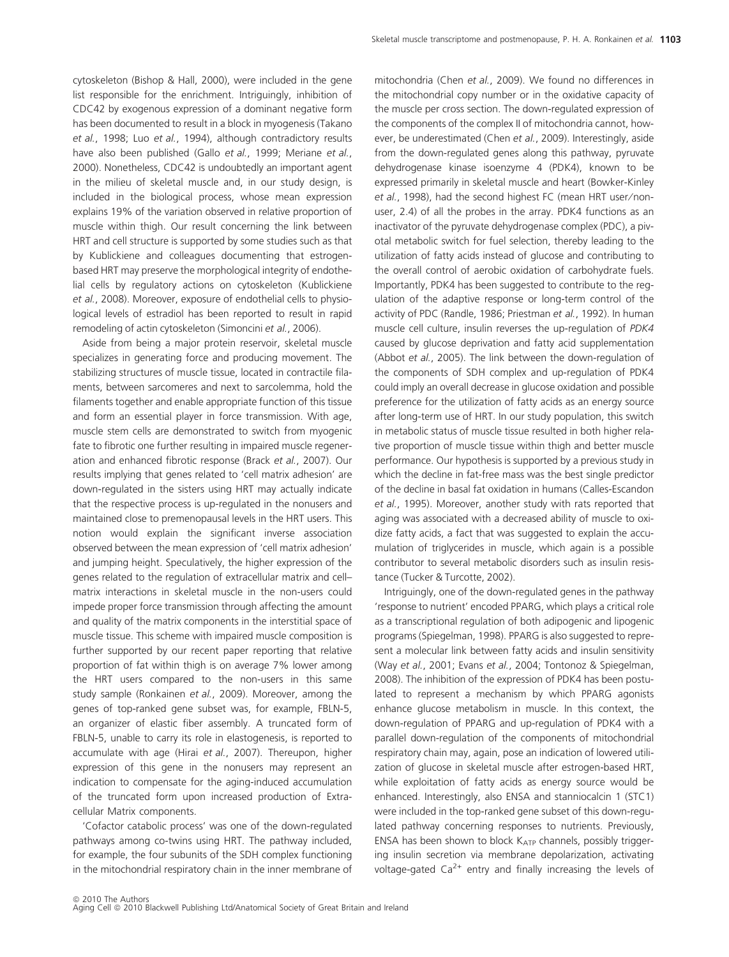cytoskeleton (Bishop & Hall, 2000), were included in the gene list responsible for the enrichment. Intriguingly, inhibition of CDC42 by exogenous expression of a dominant negative form has been documented to result in a block in myogenesis (Takano et al., 1998; Luo et al., 1994), although contradictory results have also been published (Gallo et al., 1999; Meriane et al., 2000). Nonetheless, CDC42 is undoubtedly an important agent in the milieu of skeletal muscle and, in our study design, is included in the biological process, whose mean expression explains 19% of the variation observed in relative proportion of muscle within thigh. Our result concerning the link between HRT and cell structure is supported by some studies such as that by Kublickiene and colleagues documenting that estrogenbased HRT may preserve the morphological integrity of endothelial cells by regulatory actions on cytoskeleton (Kublickiene et al., 2008). Moreover, exposure of endothelial cells to physiological levels of estradiol has been reported to result in rapid remodeling of actin cytoskeleton (Simoncini et al., 2006).

Aside from being a major protein reservoir, skeletal muscle specializes in generating force and producing movement. The stabilizing structures of muscle tissue, located in contractile filaments, between sarcomeres and next to sarcolemma, hold the filaments together and enable appropriate function of this tissue and form an essential player in force transmission. With age, muscle stem cells are demonstrated to switch from myogenic fate to fibrotic one further resulting in impaired muscle regeneration and enhanced fibrotic response (Brack et al., 2007). Our results implying that genes related to 'cell matrix adhesion' are down-regulated in the sisters using HRT may actually indicate that the respective process is up-regulated in the nonusers and maintained close to premenopausal levels in the HRT users. This notion would explain the significant inverse association observed between the mean expression of 'cell matrix adhesion' and jumping height. Speculatively, the higher expression of the genes related to the regulation of extracellular matrix and cell– matrix interactions in skeletal muscle in the non-users could impede proper force transmission through affecting the amount and quality of the matrix components in the interstitial space of muscle tissue. This scheme with impaired muscle composition is further supported by our recent paper reporting that relative proportion of fat within thigh is on average 7% lower among the HRT users compared to the non-users in this same study sample (Ronkainen et al., 2009). Moreover, among the genes of top-ranked gene subset was, for example, FBLN-5, an organizer of elastic fiber assembly. A truncated form of FBLN-5, unable to carry its role in elastogenesis, is reported to accumulate with age (Hirai et al., 2007). Thereupon, higher expression of this gene in the nonusers may represent an indication to compensate for the aging-induced accumulation of the truncated form upon increased production of Extracellular Matrix components.

'Cofactor catabolic process' was one of the down-regulated pathways among co-twins using HRT. The pathway included, for example, the four subunits of the SDH complex functioning in the mitochondrial respiratory chain in the inner membrane of mitochondria (Chen et al., 2009). We found no differences in the mitochondrial copy number or in the oxidative capacity of the muscle per cross section. The down-regulated expression of the components of the complex II of mitochondria cannot, however, be underestimated (Chen et al., 2009). Interestingly, aside from the down-regulated genes along this pathway, pyruvate dehydrogenase kinase isoenzyme 4 (PDK4), known to be expressed primarily in skeletal muscle and heart (Bowker-Kinley et al., 1998), had the second highest FC (mean HRT user/nonuser, 2.4) of all the probes in the array. PDK4 functions as an inactivator of the pyruvate dehydrogenase complex (PDC), a pivotal metabolic switch for fuel selection, thereby leading to the utilization of fatty acids instead of glucose and contributing to the overall control of aerobic oxidation of carbohydrate fuels. Importantly, PDK4 has been suggested to contribute to the regulation of the adaptive response or long-term control of the activity of PDC (Randle, 1986; Priestman et al., 1992). In human muscle cell culture, insulin reverses the up-regulation of PDK4 caused by glucose deprivation and fatty acid supplementation (Abbot et al., 2005). The link between the down-regulation of the components of SDH complex and up-regulation of PDK4 could imply an overall decrease in glucose oxidation and possible preference for the utilization of fatty acids as an energy source after long-term use of HRT. In our study population, this switch in metabolic status of muscle tissue resulted in both higher relative proportion of muscle tissue within thigh and better muscle performance. Our hypothesis is supported by a previous study in which the decline in fat-free mass was the best single predictor of the decline in basal fat oxidation in humans (Calles-Escandon et al., 1995). Moreover, another study with rats reported that aging was associated with a decreased ability of muscle to oxidize fatty acids, a fact that was suggested to explain the accumulation of triglycerides in muscle, which again is a possible contributor to several metabolic disorders such as insulin resistance (Tucker & Turcotte, 2002).

Intriguingly, one of the down-regulated genes in the pathway 'response to nutrient' encoded PPARG, which plays a critical role as a transcriptional regulation of both adipogenic and lipogenic programs (Spiegelman, 1998). PPARG is also suggested to represent a molecular link between fatty acids and insulin sensitivity (Way et al., 2001; Evans et al., 2004; Tontonoz & Spiegelman, 2008). The inhibition of the expression of PDK4 has been postulated to represent a mechanism by which PPARG agonists enhance glucose metabolism in muscle. In this context, the down-regulation of PPARG and up-regulation of PDK4 with a parallel down-regulation of the components of mitochondrial respiratory chain may, again, pose an indication of lowered utilization of glucose in skeletal muscle after estrogen-based HRT, while exploitation of fatty acids as energy source would be enhanced. Interestingly, also ENSA and stanniocalcin 1 (STC1) were included in the top-ranked gene subset of this down-regulated pathway concerning responses to nutrients. Previously, ENSA has been shown to block  $K_{ATP}$  channels, possibly triggering insulin secretion via membrane depolarization, activating voltage-gated  $Ca^{2+}$  entry and finally increasing the levels of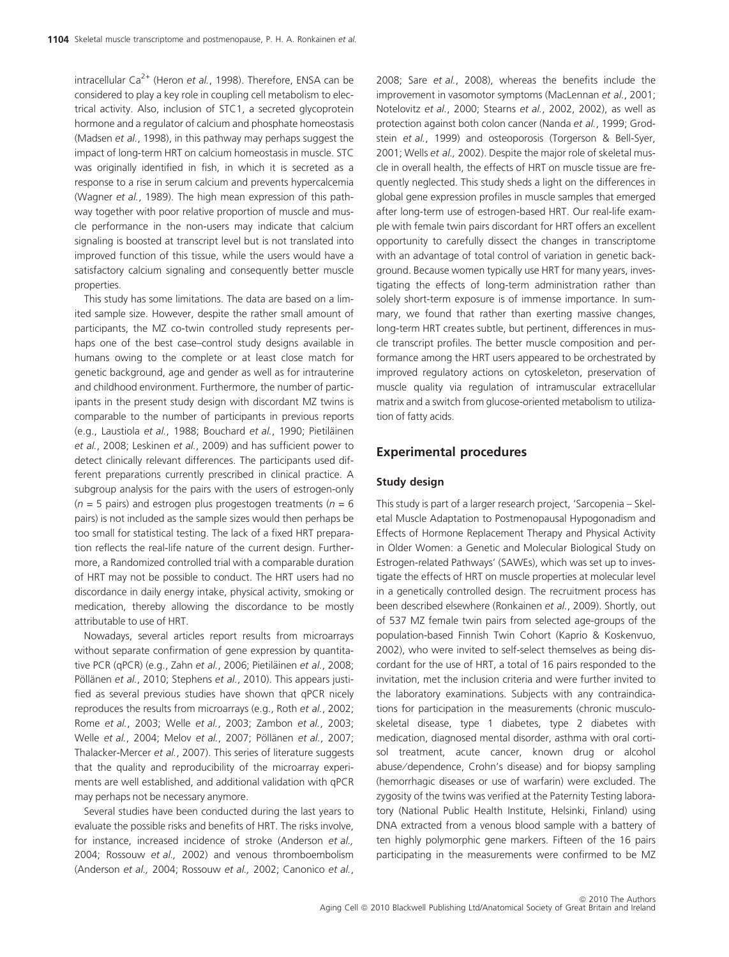intracellular  $Ca^{2+}$  (Heron et al., 1998). Therefore, ENSA can be considered to play a key role in coupling cell metabolism to electrical activity. Also, inclusion of STC1, a secreted glycoprotein hormone and a regulator of calcium and phosphate homeostasis (Madsen et al., 1998), in this pathway may perhaps suggest the impact of long-term HRT on calcium homeostasis in muscle. STC was originally identified in fish, in which it is secreted as a response to a rise in serum calcium and prevents hypercalcemia (Wagner et al., 1989). The high mean expression of this pathway together with poor relative proportion of muscle and muscle performance in the non-users may indicate that calcium signaling is boosted at transcript level but is not translated into improved function of this tissue, while the users would have a satisfactory calcium signaling and consequently better muscle properties.

This study has some limitations. The data are based on a limited sample size. However, despite the rather small amount of participants, the MZ co-twin controlled study represents perhaps one of the best case–control study designs available in humans owing to the complete or at least close match for genetic background, age and gender as well as for intrauterine and childhood environment. Furthermore, the number of participants in the present study design with discordant MZ twins is comparable to the number of participants in previous reports (e.g., Laustiola et al., 1988; Bouchard et al., 1990; Pietiläinen et al., 2008; Leskinen et al., 2009) and has sufficient power to detect clinically relevant differences. The participants used different preparations currently prescribed in clinical practice. A subgroup analysis for the pairs with the users of estrogen-only  $(n = 5$  pairs) and estrogen plus progestogen treatments  $(n = 6$ pairs) is not included as the sample sizes would then perhaps be too small for statistical testing. The lack of a fixed HRT preparation reflects the real-life nature of the current design. Furthermore, a Randomized controlled trial with a comparable duration of HRT may not be possible to conduct. The HRT users had no discordance in daily energy intake, physical activity, smoking or medication, thereby allowing the discordance to be mostly attributable to use of HRT.

Nowadays, several articles report results from microarrays without separate confirmation of gene expression by quantitative PCR (qPCR) (e.g., Zahn et al., 2006; Pietiläinen et al., 2008; Pöllänen et al., 2010; Stephens et al., 2010). This appears justified as several previous studies have shown that qPCR nicely reproduces the results from microarrays (e.g., Roth et al., 2002; Rome et al., 2003; Welle et al., 2003; Zambon et al., 2003; Welle et al., 2004; Melov et al., 2007; Pöllänen et al., 2007; Thalacker-Mercer et al., 2007). This series of literature suggests that the quality and reproducibility of the microarray experiments are well established, and additional validation with qPCR may perhaps not be necessary anymore.

Several studies have been conducted during the last years to evaluate the possible risks and benefits of HRT. The risks involve, for instance, increased incidence of stroke (Anderson et al., 2004; Rossouw et al., 2002) and venous thromboembolism (Anderson et al., 2004; Rossouw et al., 2002; Canonico et al.,

2008; Sare et al., 2008), whereas the benefits include the improvement in vasomotor symptoms (MacLennan et al., 2001; Notelovitz et al., 2000; Stearns et al., 2002, 2002), as well as protection against both colon cancer (Nanda et al., 1999; Grodstein et al., 1999) and osteoporosis (Torgerson & Bell-Syer, 2001; Wells et al., 2002). Despite the major role of skeletal muscle in overall health, the effects of HRT on muscle tissue are frequently neglected. This study sheds a light on the differences in global gene expression profiles in muscle samples that emerged after long-term use of estrogen-based HRT. Our real-life example with female twin pairs discordant for HRT offers an excellent opportunity to carefully dissect the changes in transcriptome with an advantage of total control of variation in genetic background. Because women typically use HRT for many years, investigating the effects of long-term administration rather than solely short-term exposure is of immense importance. In summary, we found that rather than exerting massive changes, long-term HRT creates subtle, but pertinent, differences in muscle transcript profiles. The better muscle composition and performance among the HRT users appeared to be orchestrated by improved regulatory actions on cytoskeleton, preservation of muscle quality via regulation of intramuscular extracellular matrix and a switch from glucose-oriented metabolism to utilization of fatty acids.

### Experimental procedures

#### Study design

This study is part of a larger research project, 'Sarcopenia – Skeletal Muscle Adaptation to Postmenopausal Hypogonadism and Effects of Hormone Replacement Therapy and Physical Activity in Older Women: a Genetic and Molecular Biological Study on Estrogen-related Pathways' (SAWEs), which was set up to investigate the effects of HRT on muscle properties at molecular level in a genetically controlled design. The recruitment process has been described elsewhere (Ronkainen et al., 2009). Shortly, out of 537 MZ female twin pairs from selected age-groups of the population-based Finnish Twin Cohort (Kaprio & Koskenvuo, 2002), who were invited to self-select themselves as being discordant for the use of HRT, a total of 16 pairs responded to the invitation, met the inclusion criteria and were further invited to the laboratory examinations. Subjects with any contraindications for participation in the measurements (chronic musculoskeletal disease, type 1 diabetes, type 2 diabetes with medication, diagnosed mental disorder, asthma with oral cortisol treatment, acute cancer, known drug or alcohol abuse ⁄ dependence, Crohn's disease) and for biopsy sampling (hemorrhagic diseases or use of warfarin) were excluded. The zygosity of the twins was verified at the Paternity Testing laboratory (National Public Health Institute, Helsinki, Finland) using DNA extracted from a venous blood sample with a battery of ten highly polymorphic gene markers. Fifteen of the 16 pairs participating in the measurements were confirmed to be MZ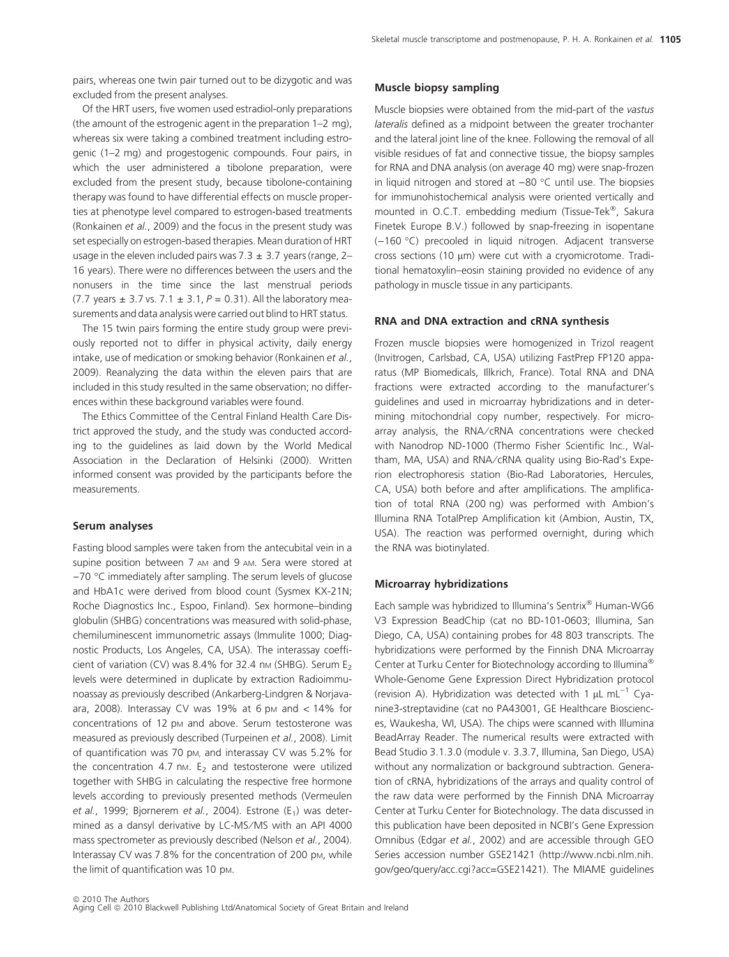pairs, whereas one twin pair turned out to be dizygotic and was excluded from the present analyses.

Of the HRT users, five women used estradiol-only preparations (the amount of the estrogenic agent in the preparation 1–2 mg), whereas six were taking a combined treatment including estrogenic (1–2 mg) and progestogenic compounds. Four pairs, in which the user administered a tibolone preparation, were excluded from the present study, because tibolone-containing therapy was found to have differential effects on muscle properties at phenotype level compared to estrogen-based treatments (Ronkainen et al., 2009) and the focus in the present study was set especially on estrogen-based therapies. Mean duration of HRT usage in the eleven included pairs was  $7.3 \pm 3.7$  years (range, 2– 16 years). There were no differences between the users and the nonusers in the time since the last menstrual periods (7.7 years  $\pm$  3.7 vs. 7.1  $\pm$  3.1, P = 0.31). All the laboratory measurements and data analysis were carried out blind to HRT status.

The 15 twin pairs forming the entire study group were previously reported not to differ in physical activity, daily energy intake, use of medication or smoking behavior (Ronkainen et al., 2009). Reanalyzing the data within the eleven pairs that are included in this study resulted in the same observation; no differences within these background variables were found.

The Ethics Committee of the Central Finland Health Care District approved the study, and the study was conducted according to the guidelines as laid down by the World Medical Association in the Declaration of Helsinki (2000). Written informed consent was provided by the participants before the measurements.

#### Serum analyses

Fasting blood samples were taken from the antecubital vein in a supine position between 7 AM and 9 AM. Sera were stored at  $-70$  °C immediately after sampling. The serum levels of glucose and HbA1c were derived from blood count (Sysmex KX-21N; Roche Diagnostics Inc., Espoo, Finland). Sex hormone–binding globulin (SHBG) concentrations was measured with solid-phase, chemiluminescent immunometric assays (Immulite 1000; Diagnostic Products, Los Angeles, CA, USA). The interassay coefficient of variation (CV) was 8.4% for 32.4 nm (SHBG). Serum  $E_2$ levels were determined in duplicate by extraction Radioimmunoassay as previously described (Ankarberg-Lindgren & Norjavaara, 2008). Interassay CV was 19% at 6 pm and  $<$  14% for concentrations of 12 pm and above. Serum testosterone was measured as previously described (Turpeinen et al., 2008). Limit of quantification was 70 pm, and interassay CV was 5.2% for the concentration 4.7 nm.  $E_2$  and testosterone were utilized together with SHBG in calculating the respective free hormone levels according to previously presented methods (Vermeulen et al., 1999; Bjornerem et al., 2004). Estrone  $(E_1)$  was determined as a dansyl derivative by LC-MS/MS with an API 4000 mass spectrometer as previously described (Nelson et al., 2004). Interassay CV was 7.8% for the concentration of 200 pm, while the limit of quantification was 10 pm.

#### Muscle biopsy sampling

Muscle biopsies were obtained from the mid-part of the vastus lateralis defined as a midpoint between the greater trochanter and the lateral joint line of the knee. Following the removal of all visible residues of fat and connective tissue, the biopsy samples for RNA and DNA analysis (on average 40 mg) were snap-frozen in liquid nitrogen and stored at  $-80$  °C until use. The biopsies for immunohistochemical analysis were oriented vertically and mounted in O.C.T. embedding medium (Tissue-Tek®, Sakura Finetek Europe B.V.) followed by snap-freezing in isopentane (-160 °C) precooled in liquid nitrogen. Adjacent transverse cross sections (10  $\mu$ m) were cut with a cryomicrotome. Traditional hematoxylin–eosin staining provided no evidence of any pathology in muscle tissue in any participants.

#### RNA and DNA extraction and cRNA synthesis

Frozen muscle biopsies were homogenized in Trizol reagent (Invitrogen, Carlsbad, CA, USA) utilizing FastPrep FP120 apparatus (MP Biomedicals, Illkrich, France). Total RNA and DNA fractions were extracted according to the manufacturer's guidelines and used in microarray hybridizations and in determining mitochondrial copy number, respectively. For microarray analysis, the RNA/cRNA concentrations were checked with Nanodrop ND-1000 (Thermo Fisher Scientific Inc., Waltham, MA, USA) and RNA/cRNA quality using Bio-Rad's Experion electrophoresis station (Bio-Rad Laboratories, Hercules, CA, USA) both before and after amplifications. The amplification of total RNA (200 ng) was performed with Ambion's Illumina RNA TotalPrep Amplification kit (Ambion, Austin, TX, USA). The reaction was performed overnight, during which the RNA was biotinylated.

#### Microarray hybridizations

Each sample was hybridized to Illumina's Sentrix<sup>®</sup> Human-WG6 V3 Expression BeadChip (cat no BD-101-0603; Illumina, San Diego, CA, USA) containing probes for 48 803 transcripts. The hybridizations were performed by the Finnish DNA Microarray Center at Turku Center for Biotechnology according to Illumina Whole-Genome Gene Expression Direct Hybridization protocol (revision A). Hybridization was detected with 1  $\mu$ L mL<sup>-1</sup> Cyanine3-streptavidine (cat no PA43001, GE Healthcare Biosciences, Waukesha, WI, USA). The chips were scanned with Illumina BeadArray Reader. The numerical results were extracted with Bead Studio 3.1.3.0 (module v. 3.3.7, Illumina, San Diego, USA) without any normalization or background subtraction. Generation of cRNA, hybridizations of the arrays and quality control of the raw data were performed by the Finnish DNA Microarray Center at Turku Center for Biotechnology. The data discussed in this publication have been deposited in NCBI's Gene Expression Omnibus (Edgar et al., 2002) and are accessible through GEO Series accession number GSE21421 (http://www.ncbi.nlm.nih. gov/geo/query/acc.cgi?acc=GSE21421). The MIAME guidelines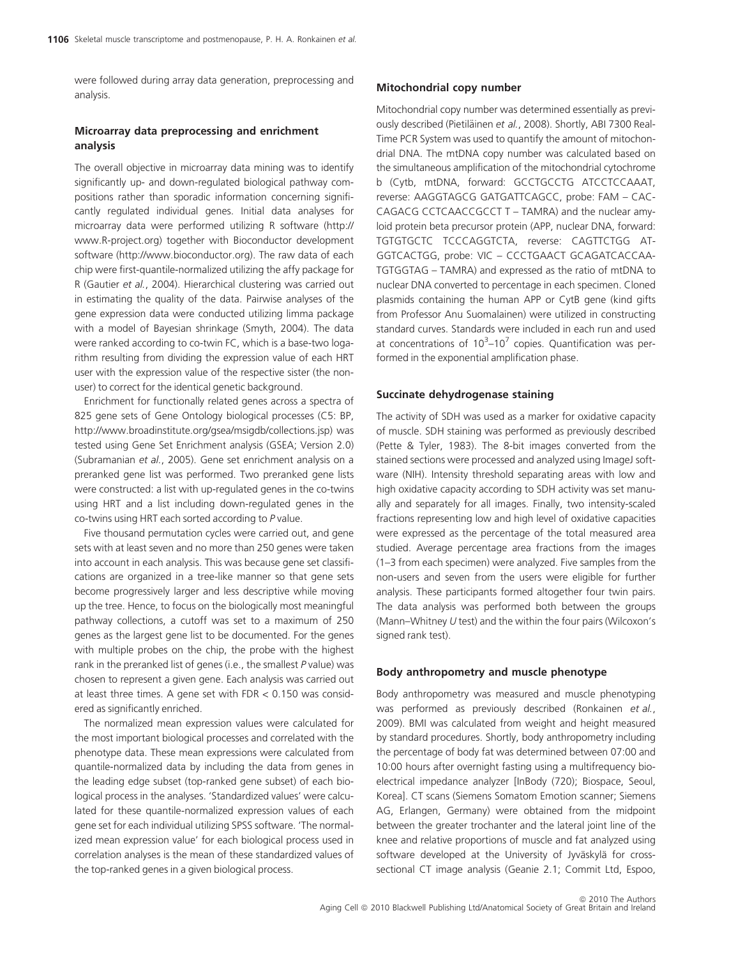were followed during array data generation, preprocessing and analysis.

## Microarray data preprocessing and enrichment analysis

The overall objective in microarray data mining was to identify significantly up- and down-regulated biological pathway compositions rather than sporadic information concerning significantly regulated individual genes. Initial data analyses for microarray data were performed utilizing R software (http:// www.R-project.org) together with Bioconductor development software (http://www.bioconductor.org). The raw data of each chip were first-quantile-normalized utilizing the affy package for R (Gautier et al., 2004). Hierarchical clustering was carried out in estimating the quality of the data. Pairwise analyses of the gene expression data were conducted utilizing limma package with a model of Bayesian shrinkage (Smyth, 2004). The data were ranked according to co-twin FC, which is a base-two logarithm resulting from dividing the expression value of each HRT user with the expression value of the respective sister (the nonuser) to correct for the identical genetic background.

Enrichment for functionally related genes across a spectra of 825 gene sets of Gene Ontology biological processes (C5: BP, http://www.broadinstitute.org/gsea/msigdb/collections.jsp) was tested using Gene Set Enrichment analysis (GSEA; Version 2.0) (Subramanian et al., 2005). Gene set enrichment analysis on a preranked gene list was performed. Two preranked gene lists were constructed: a list with up-regulated genes in the co-twins using HRT and a list including down-regulated genes in the co-twins using HRT each sorted according to P value.

Five thousand permutation cycles were carried out, and gene sets with at least seven and no more than 250 genes were taken into account in each analysis. This was because gene set classifications are organized in a tree-like manner so that gene sets become progressively larger and less descriptive while moving up the tree. Hence, to focus on the biologically most meaningful pathway collections, a cutoff was set to a maximum of 250 genes as the largest gene list to be documented. For the genes with multiple probes on the chip, the probe with the highest rank in the preranked list of genes (i.e., the smallest P value) was chosen to represent a given gene. Each analysis was carried out at least three times. A gene set with FDR < 0.150 was considered as significantly enriched.

The normalized mean expression values were calculated for the most important biological processes and correlated with the phenotype data. These mean expressions were calculated from quantile-normalized data by including the data from genes in the leading edge subset (top-ranked gene subset) of each biological process in the analyses. 'Standardized values' were calculated for these quantile-normalized expression values of each gene set for each individual utilizing SPSS software. 'The normalized mean expression value' for each biological process used in correlation analyses is the mean of these standardized values of the top-ranked genes in a given biological process.

#### Mitochondrial copy number

Mitochondrial copy number was determined essentially as previously described (Pietiläinen et al., 2008). Shortly, ABI 7300 Real-Time PCR System was used to quantify the amount of mitochondrial DNA. The mtDNA copy number was calculated based on the simultaneous amplification of the mitochondrial cytochrome b (Cytb, mtDNA, forward: GCCTGCCTG ATCCTCCAAAT, reverse: AAGGTAGCG GATGATTCAGCC, probe: FAM – CAC-CAGACG CCTCAACCGCCT T – TAMRA) and the nuclear amyloid protein beta precursor protein (APP, nuclear DNA, forward: TGTGTGCTC TCCCAGGTCTA, reverse: CAGTTCTGG AT-GGTCACTGG, probe: VIC – CCCTGAACT GCAGATCACCAA-TGTGGTAG – TAMRA) and expressed as the ratio of mtDNA to nuclear DNA converted to percentage in each specimen. Cloned plasmids containing the human APP or CytB gene (kind gifts from Professor Anu Suomalainen) were utilized in constructing standard curves. Standards were included in each run and used at concentrations of  $10^3 - 10^7$  copies. Quantification was performed in the exponential amplification phase.

#### Succinate dehydrogenase staining

The activity of SDH was used as a marker for oxidative capacity of muscle. SDH staining was performed as previously described (Pette & Tyler, 1983). The 8-bit images converted from the stained sections were processed and analyzed using ImageJ software (NIH). Intensity threshold separating areas with low and high oxidative capacity according to SDH activity was set manually and separately for all images. Finally, two intensity-scaled fractions representing low and high level of oxidative capacities were expressed as the percentage of the total measured area studied. Average percentage area fractions from the images (1–3 from each specimen) were analyzed. Five samples from the non-users and seven from the users were eligible for further analysis. These participants formed altogether four twin pairs. The data analysis was performed both between the groups (Mann–Whitney U test) and the within the four pairs (Wilcoxon's signed rank test).

#### Body anthropometry and muscle phenotype

Body anthropometry was measured and muscle phenotyping was performed as previously described (Ronkainen et al., 2009). BMI was calculated from weight and height measured by standard procedures. Shortly, body anthropometry including the percentage of body fat was determined between 07:00 and 10:00 hours after overnight fasting using a multifrequency bioelectrical impedance analyzer [InBody (720); Biospace, Seoul, Korea]. CT scans (Siemens Somatom Emotion scanner; Siemens AG, Erlangen, Germany) were obtained from the midpoint between the greater trochanter and the lateral joint line of the knee and relative proportions of muscle and fat analyzed using software developed at the University of Jyväskylä for crosssectional CT image analysis (Geanie 2.1; Commit Ltd, Espoo,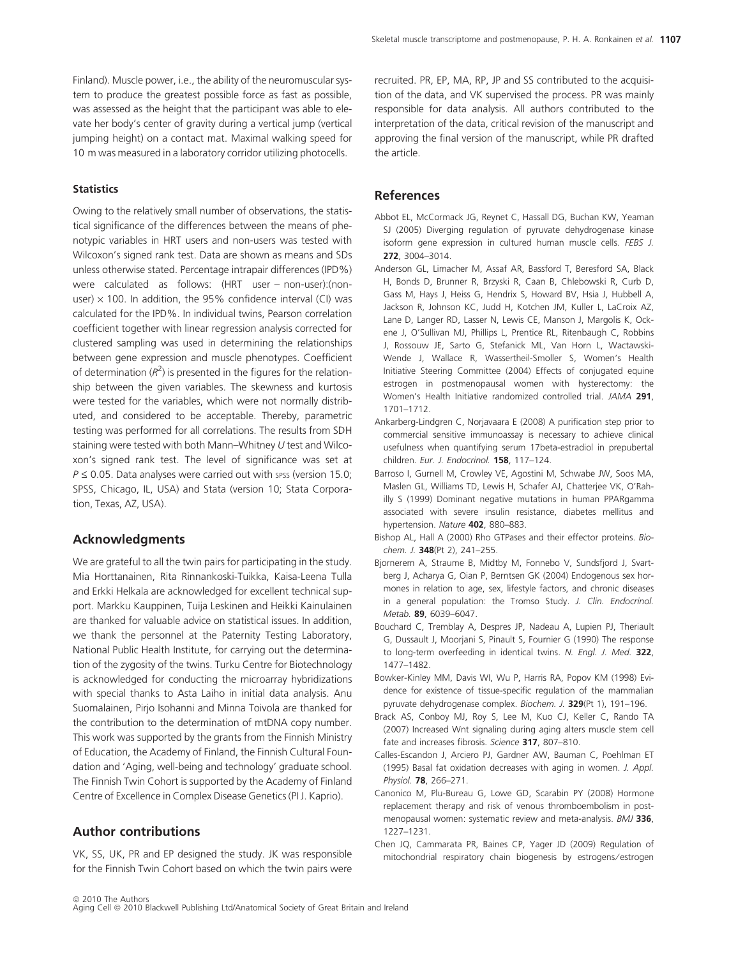## **Statistics**

Owing to the relatively small number of observations, the statistical significance of the differences between the means of phenotypic variables in HRT users and non-users was tested with Wilcoxon's signed rank test. Data are shown as means and SDs unless otherwise stated. Percentage intrapair differences (IPD%) were calculated as follows:  $(HRT$  user – non-user):(nonuser)  $\times$  100. In addition, the 95% confidence interval (CI) was calculated for the IPD%. In individual twins, Pearson correlation coefficient together with linear regression analysis corrected for clustered sampling was used in determining the relationships between gene expression and muscle phenotypes. Coefficient of determination  $(R^2)$  is presented in the figures for the relationship between the given variables. The skewness and kurtosis were tested for the variables, which were not normally distributed, and considered to be acceptable. Thereby, parametric testing was performed for all correlations. The results from SDH staining were tested with both Mann–Whitney U test and Wilcoxon's signed rank test. The level of significance was set at  $P \le 0.05$ . Data analyses were carried out with spss (version 15.0; SPSS, Chicago, IL, USA) and Stata (version 10; Stata Corporation, Texas, AZ, USA).

## Acknowledgments

We are grateful to all the twin pairs for participating in the study. Mia Horttanainen, Rita Rinnankoski-Tuikka, Kaisa-Leena Tulla and Erkki Helkala are acknowledged for excellent technical support. Markku Kauppinen, Tuija Leskinen and Heikki Kainulainen are thanked for valuable advice on statistical issues. In addition, we thank the personnel at the Paternity Testing Laboratory, National Public Health Institute, for carrying out the determination of the zygosity of the twins. Turku Centre for Biotechnology is acknowledged for conducting the microarray hybridizations with special thanks to Asta Laiho in initial data analysis. Anu Suomalainen, Pirjo Isohanni and Minna Toivola are thanked for the contribution to the determination of mtDNA copy number. This work was supported by the grants from the Finnish Ministry of Education, the Academy of Finland, the Finnish Cultural Foundation and 'Aging, well-being and technology' graduate school. The Finnish Twin Cohort is supported by the Academy of Finland Centre of Excellence in Complex Disease Genetics (PI J. Kaprio).

## Author contributions

VK, SS, UK, PR and EP designed the study. JK was responsible for the Finnish Twin Cohort based on which the twin pairs were recruited. PR, EP, MA, RP, JP and SS contributed to the acquisition of the data, and VK supervised the process. PR was mainly responsible for data analysis. All authors contributed to the interpretation of the data, critical revision of the manuscript and approving the final version of the manuscript, while PR drafted the article.

## References

- Abbot EL, McCormack JG, Reynet C, Hassall DG, Buchan KW, Yeaman SJ (2005) Diverging regulation of pyruvate dehydrogenase kinase isoform gene expression in cultured human muscle cells. FEBS J. 272, 3004–3014.
- Anderson GL, Limacher M, Assaf AR, Bassford T, Beresford SA, Black H, Bonds D, Brunner R, Brzyski R, Caan B, Chlebowski R, Curb D, Gass M, Hays J, Heiss G, Hendrix S, Howard BV, Hsia J, Hubbell A, Jackson R, Johnson KC, Judd H, Kotchen JM, Kuller L, LaCroix AZ, Lane D, Langer RD, Lasser N, Lewis CE, Manson J, Margolis K, Ockene J, O'Sullivan MJ, Phillips L, Prentice RL, Ritenbaugh C, Robbins J, Rossouw JE, Sarto G, Stefanick ML, Van Horn L, Wactawski-Wende J, Wallace R, Wassertheil-Smoller S, Women's Health Initiative Steering Committee (2004) Effects of conjugated equine estrogen in postmenopausal women with hysterectomy: the Women's Health Initiative randomized controlled trial. JAMA 291, 1701–1712.
- Ankarberg-Lindgren C, Norjavaara E (2008) A purification step prior to commercial sensitive immunoassay is necessary to achieve clinical usefulness when quantifying serum 17beta-estradiol in prepubertal children. Eur. J. Endocrinol. 158, 117-124.
- Barroso I, Gurnell M, Crowley VE, Agostini M, Schwabe JW, Soos MA, Maslen GL, Williams TD, Lewis H, Schafer AJ, Chatterjee VK, O'Rahilly S (1999) Dominant negative mutations in human PPARgamma associated with severe insulin resistance, diabetes mellitus and hypertension. Nature 402, 880-883.
- Bishop AL, Hall A (2000) Rho GTPases and their effector proteins. Biochem. J. 348(Pt 2), 241-255.
- Bjornerem A, Straume B, Midtby M, Fonnebo V, Sundsfjord J, Svartberg J, Acharya G, Oian P, Berntsen GK (2004) Endogenous sex hormones in relation to age, sex, lifestyle factors, and chronic diseases in a general population: the Tromso Study. J. Clin. Endocrinol. Metab. 89, 6039–6047.
- Bouchard C, Tremblay A, Despres JP, Nadeau A, Lupien PJ, Theriault G, Dussault J, Moorjani S, Pinault S, Fournier G (1990) The response to long-term overfeeding in identical twins. N. Engl. J. Med. 322, 1477–1482.
- Bowker-Kinley MM, Davis WI, Wu P, Harris RA, Popov KM (1998) Evidence for existence of tissue-specific regulation of the mammalian pyruvate dehydrogenase complex. Biochem. J. 329(Pt 1), 191–196.
- Brack AS, Conboy MJ, Roy S, Lee M, Kuo CJ, Keller C, Rando TA (2007) Increased Wnt signaling during aging alters muscle stem cell fate and increases fibrosis. Science 317, 807-810.
- Calles-Escandon J, Arciero PJ, Gardner AW, Bauman C, Poehlman ET (1995) Basal fat oxidation decreases with aging in women. J. Appl. Physiol. 78, 266–271.
- Canonico M, Plu-Bureau G, Lowe GD, Scarabin PY (2008) Hormone replacement therapy and risk of venous thromboembolism in postmenopausal women: systematic review and meta-analysis. BMJ 336, 1227–1231.
- Chen JQ, Cammarata PR, Baines CP, Yager JD (2009) Regulation of mitochondrial respiratory chain biogenesis by estrogens ⁄ estrogen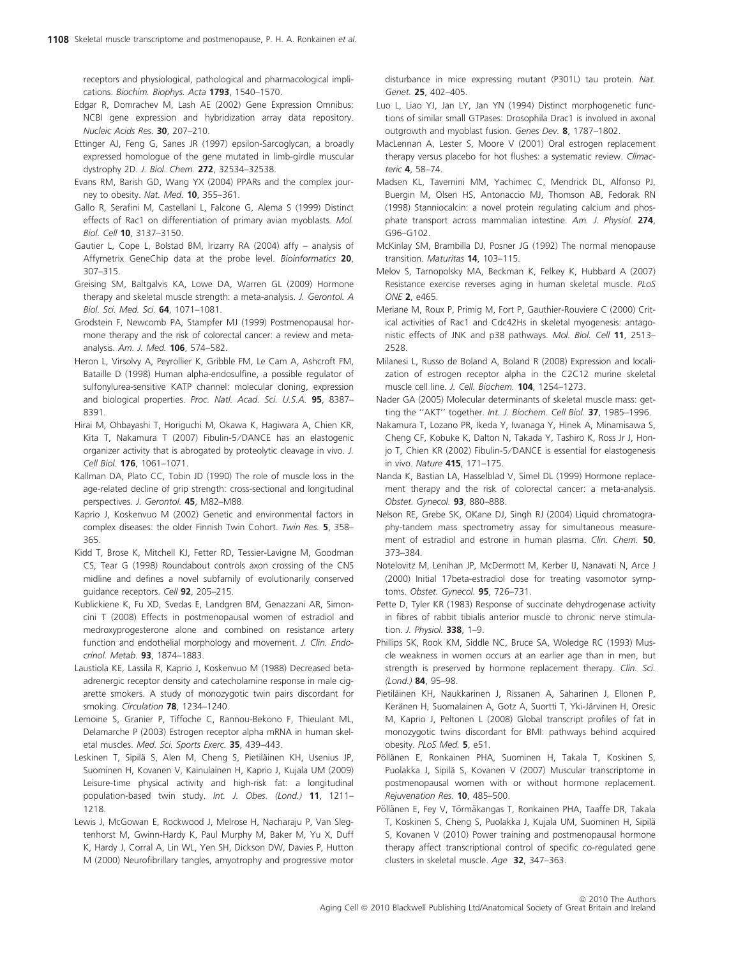receptors and physiological, pathological and pharmacological implications. Biochim. Biophys. Acta 1793, 1540–1570.

- Edgar R, Domrachev M, Lash AE (2002) Gene Expression Omnibus: NCBI gene expression and hybridization array data repository. Nucleic Acids Res. 30, 207–210.
- Ettinger AJ, Feng G, Sanes JR (1997) epsilon-Sarcoglycan, a broadly expressed homologue of the gene mutated in limb-girdle muscular dystrophy 2D. J. Biol. Chem. 272, 32534–32538.
- Evans RM, Barish GD, Wang YX (2004) PPARs and the complex journey to obesity. Nat. Med. 10, 355–361.
- Gallo R, Serafini M, Castellani L, Falcone G, Alema S (1999) Distinct effects of Rac1 on differentiation of primary avian myoblasts. Mol. Biol. Cell 10, 3137–3150.
- Gautier L, Cope L, Bolstad BM, Irizarry RA (2004) affy analysis of Affymetrix GeneChip data at the probe level. Bioinformatics 20, 307–315.
- Greising SM, Baltgalvis KA, Lowe DA, Warren GL (2009) Hormone therapy and skeletal muscle strength: a meta-analysis. J. Gerontol. A Biol. Sci. Med. Sci. 64, 1071–1081.
- Grodstein F, Newcomb PA, Stampfer MJ (1999) Postmenopausal hormone therapy and the risk of colorectal cancer: a review and metaanalysis. Am. J. Med. 106, 574–582.
- Heron L, Virsolvy A, Peyrollier K, Gribble FM, Le Cam A, Ashcroft FM, Bataille D (1998) Human alpha-endosulfine, a possible regulator of sulfonylurea-sensitive KATP channel: molecular cloning, expression and biological properties. Proc. Natl. Acad. Sci. U.S.A. 95, 8387-8391.
- Hirai M, Ohbayashi T, Horiguchi M, Okawa K, Hagiwara A, Chien KR, Kita T, Nakamura T (2007) Fibulin-5/DANCE has an elastogenic organizer activity that is abrogated by proteolytic cleavage in vivo. J. Cell Biol. 176, 1061–1071.
- Kallman DA, Plato CC, Tobin JD (1990) The role of muscle loss in the age-related decline of grip strength: cross-sectional and longitudinal perspectives. J. Gerontol. 45, M82-M88.
- Kaprio J, Koskenvuo M (2002) Genetic and environmental factors in complex diseases: the older Finnish Twin Cohort. Twin Res. 5, 358– 365.
- Kidd T, Brose K, Mitchell KJ, Fetter RD, Tessier-Lavigne M, Goodman CS, Tear G (1998) Roundabout controls axon crossing of the CNS midline and defines a novel subfamily of evolutionarily conserved guidance receptors. Cell 92, 205-215.
- Kublickiene K, Fu XD, Svedas E, Landgren BM, Genazzani AR, Simoncini T (2008) Effects in postmenopausal women of estradiol and medroxyprogesterone alone and combined on resistance artery function and endothelial morphology and movement. J. Clin. Endocrinol. Metab. 93, 1874–1883.
- Laustiola KE, Lassila R, Kaprio J, Koskenvuo M (1988) Decreased betaadrenergic receptor density and catecholamine response in male cigarette smokers. A study of monozygotic twin pairs discordant for smoking. Circulation 78, 1234-1240.
- Lemoine S, Granier P, Tiffoche C, Rannou-Bekono F, Thieulant ML, Delamarche P (2003) Estrogen receptor alpha mRNA in human skeletal muscles. Med. Sci. Sports Exerc. 35, 439-443.
- Leskinen T, Sipilä S, Alen M, Cheng S, Pietiläinen KH, Usenius JP, Suominen H, Kovanen V, Kainulainen H, Kaprio J, Kujala UM (2009) Leisure-time physical activity and high-risk fat: a longitudinal population-based twin study. Int. J. Obes. (Lond.) 11, 1211-1218.
- Lewis J, McGowan E, Rockwood J, Melrose H, Nacharaju P, Van Slegtenhorst M, Gwinn-Hardy K, Paul Murphy M, Baker M, Yu X, Duff K, Hardy J, Corral A, Lin WL, Yen SH, Dickson DW, Davies P, Hutton M (2000) Neurofibrillary tangles, amyotrophy and progressive motor

disturbance in mice expressing mutant (P301L) tau protein. Nat. Genet. 25, 402–405.

- Luo L, Liao YJ, Jan LY, Jan YN (1994) Distinct morphogenetic functions of similar small GTPases: Drosophila Drac1 is involved in axonal outgrowth and myoblast fusion. Genes Dev. 8, 1787–1802.
- MacLennan A, Lester S, Moore V (2001) Oral estrogen replacement therapy versus placebo for hot flushes: a systematic review. Climacteric 4, 58–74.
- Madsen KL, Tavernini MM, Yachimec C, Mendrick DL, Alfonso PJ, Buergin M, Olsen HS, Antonaccio MJ, Thomson AB, Fedorak RN (1998) Stanniocalcin: a novel protein regulating calcium and phosphate transport across mammalian intestine. Am. J. Physiol. 274, G96–G102.
- McKinlay SM, Brambilla DJ, Posner JG (1992) The normal menopause transition. Maturitas 14, 103-115.
- Melov S, Tarnopolsky MA, Beckman K, Felkey K, Hubbard A (2007) Resistance exercise reverses aging in human skeletal muscle. PLoS ONE 2, e465.
- Meriane M, Roux P, Primig M, Fort P, Gauthier-Rouviere C (2000) Critical activities of Rac1 and Cdc42Hs in skeletal myogenesis: antagonistic effects of JNK and p38 pathways. Mol. Biol. Cell 11, 2513– 2528.
- Milanesi L, Russo de Boland A, Boland R (2008) Expression and localization of estrogen receptor alpha in the C2C12 murine skeletal muscle cell line. J. Cell. Biochem. 104, 1254–1273.
- Nader GA (2005) Molecular determinants of skeletal muscle mass: getting the "AKT" together. Int. J. Biochem. Cell Biol. 37, 1985-1996.
- Nakamura T, Lozano PR, Ikeda Y, Iwanaga Y, Hinek A, Minamisawa S, Cheng CF, Kobuke K, Dalton N, Takada Y, Tashiro K, Ross Jr J, Honio T. Chien KR (2002) Fibulin-5/DANCE is essential for elastogenesis in vivo. Nature  $415$ , 171–175.
- Nanda K, Bastian LA, Hasselblad V, Simel DL (1999) Hormone replacement therapy and the risk of colorectal cancer: a meta-analysis. Obstet. Gynecol. 93, 880–888.
- Nelson RE, Grebe SK, OKane DJ, Singh RJ (2004) Liquid chromatography-tandem mass spectrometry assay for simultaneous measurement of estradiol and estrone in human plasma. Clin. Chem. 50, 373–384.
- Notelovitz M, Lenihan JP, McDermott M, Kerber IJ, Nanavati N, Arce J (2000) Initial 17beta-estradiol dose for treating vasomotor symptoms. Obstet. Gynecol. 95, 726–731.
- Pette D, Tyler KR (1983) Response of succinate dehydrogenase activity in fibres of rabbit tibialis anterior muscle to chronic nerve stimulation. J. Physiol. 338, 1–9.
- Phillips SK, Rook KM, Siddle NC, Bruce SA, Woledge RC (1993) Muscle weakness in women occurs at an earlier age than in men, but strength is preserved by hormone replacement therapy. Clin. Sci. (Lond.) 84, 95–98.
- Pietiläinen KH, Naukkarinen J, Rissanen A, Saharinen J, Ellonen P, Keränen H, Suomalainen A, Gotz A, Suortti T, Yki-Järvinen H, Oresic M, Kaprio J, Peltonen L (2008) Global transcript profiles of fat in monozygotic twins discordant for BMI: pathways behind acquired obesity. PLoS Med. 5, e51.
- Pöllänen E, Ronkainen PHA, Suominen H, Takala T, Koskinen S, Puolakka J, Sipilä S, Kovanen V (2007) Muscular transcriptome in postmenopausal women with or without hormone replacement. Rejuvenation Res. 10, 485–500.
- Pöllänen E, Fey V, Törmäkangas T, Ronkainen PHA, Taaffe DR, Takala T, Koskinen S, Cheng S, Puolakka J, Kujala UM, Suominen H, Sipila¨ S, Kovanen V (2010) Power training and postmenopausal hormone therapy affect transcriptional control of specific co-regulated gene clusters in skeletal muscle. Age 32, 347–363.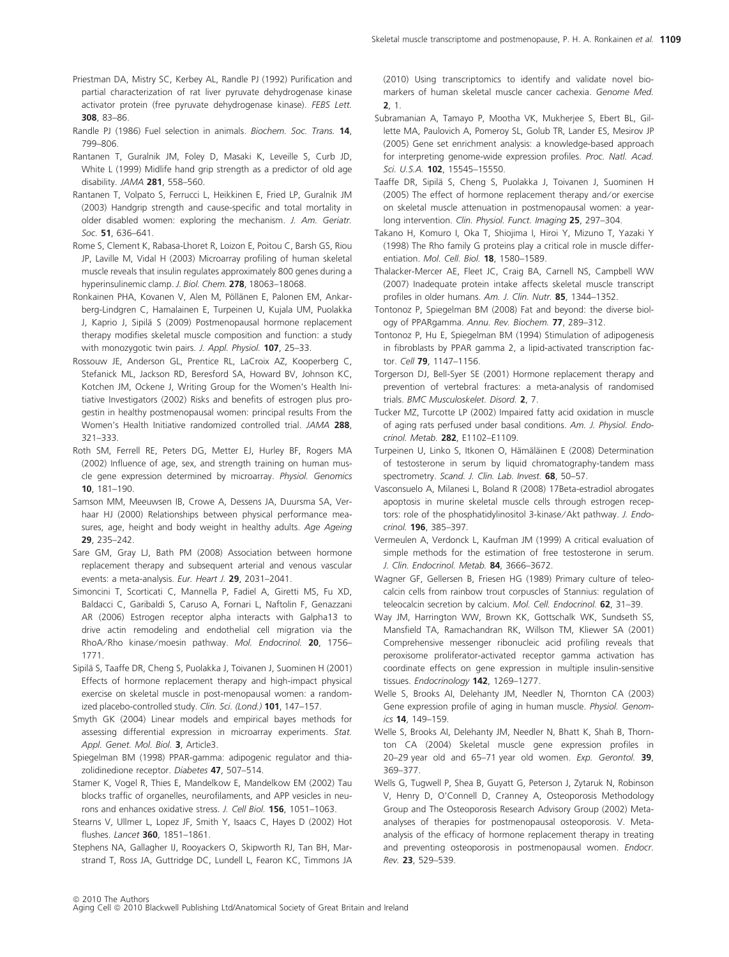- Priestman DA, Mistry SC, Kerbey AL, Randle PJ (1992) Purification and partial characterization of rat liver pyruvate dehydrogenase kinase activator protein (free pyruvate dehydrogenase kinase). FEBS Lett. 308, 83–86.
- Randle PJ (1986) Fuel selection in animals. Biochem. Soc. Trans. 14, 799–806.
- Rantanen T, Guralnik JM, Foley D, Masaki K, Leveille S, Curb JD, White L (1999) Midlife hand grip strength as a predictor of old age disability. JAMA 281, 558-560.
- Rantanen T, Volpato S, Ferrucci L, Heikkinen E, Fried LP, Guralnik JM (2003) Handgrip strength and cause-specific and total mortality in older disabled women: exploring the mechanism. J. Am. Geriatr. Soc. 51, 636–641.
- Rome S, Clement K, Rabasa-Lhoret R, Loizon E, Poitou C, Barsh GS, Riou JP, Laville M, Vidal H (2003) Microarray profiling of human skeletal muscle reveals that insulin regulates approximately 800 genes during a hyperinsulinemic clamp. J. Biol. Chem. 278, 18063–18068.
- Ronkainen PHA, Kovanen V, Alen M, Pöllänen E, Palonen EM, Ankarberg-Lindgren C, Hamalainen E, Turpeinen U, Kujala UM, Puolakka J, Kaprio J, Sipilä S (2009) Postmenopausal hormone replacement therapy modifies skeletal muscle composition and function: a study with monozygotic twin pairs. J. Appl. Physiol. 107, 25-33.
- Rossouw JE, Anderson GL, Prentice RL, LaCroix AZ, Kooperberg C, Stefanick ML, Jackson RD, Beresford SA, Howard BV, Johnson KC, Kotchen JM, Ockene J, Writing Group for the Women's Health Initiative Investigators (2002) Risks and benefits of estrogen plus progestin in healthy postmenopausal women: principal results From the Women's Health Initiative randomized controlled trial. JAMA 288, 321–333.
- Roth SM, Ferrell RE, Peters DG, Metter EJ, Hurley BF, Rogers MA (2002) Influence of age, sex, and strength training on human muscle gene expression determined by microarray. Physiol. Genomics 10, 181–190.
- Samson MM, Meeuwsen IB, Crowe A, Dessens JA, Duursma SA, Verhaar HJ (2000) Relationships between physical performance measures, age, height and body weight in healthy adults. Age Ageing 29, 235–242.
- Sare GM, Gray LJ, Bath PM (2008) Association between hormone replacement therapy and subsequent arterial and venous vascular events: a meta-analysis. Eur. Heart J. 29, 2031–2041.
- Simoncini T, Scorticati C, Mannella P, Fadiel A, Giretti MS, Fu XD, Baldacci C, Garibaldi S, Caruso A, Fornari L, Naftolin F, Genazzani AR (2006) Estrogen receptor alpha interacts with Galpha13 to drive actin remodeling and endothelial cell migration via the RhoA/Rho kinase/moesin pathway. Mol. Endocrinol. 20, 1756-1771.
- Sipila¨ S, Taaffe DR, Cheng S, Puolakka J, Toivanen J, Suominen H (2001) Effects of hormone replacement therapy and high-impact physical exercise on skeletal muscle in post-menopausal women: a randomized placebo-controlled study. Clin. Sci. (Lond.) 101, 147-157.
- Smyth GK (2004) Linear models and empirical bayes methods for assessing differential expression in microarray experiments. Stat. Appl. Genet. Mol. Biol. 3, Article3.
- Spiegelman BM (1998) PPAR-gamma: adipogenic regulator and thiazolidinedione receptor. Diabetes 47, 507-514.
- Stamer K, Vogel R, Thies E, Mandelkow E, Mandelkow EM (2002) Tau blocks traffic of organelles, neurofilaments, and APP vesicles in neurons and enhances oxidative stress. J. Cell Biol. 156, 1051–1063.
- Stearns V, Ullmer L, Lopez JF, Smith Y, Isaacs C, Hayes D (2002) Hot flushes. Lancet 360, 1851–1861.
- Stephens NA, Gallagher IJ, Rooyackers O, Skipworth RJ, Tan BH, Marstrand T, Ross JA, Guttridge DC, Lundell L, Fearon KC, Timmons JA

(2010) Using transcriptomics to identify and validate novel biomarkers of human skeletal muscle cancer cachexia. Genome Med. 2, 1.

- Subramanian A, Tamayo P, Mootha VK, Mukherjee S, Ebert BL, Gillette MA, Paulovich A, Pomeroy SL, Golub TR, Lander ES, Mesirov JP (2005) Gene set enrichment analysis: a knowledge-based approach for interpreting genome-wide expression profiles. Proc. Natl. Acad. Sci. U.S.A. **102**, 15545-15550.
- Taaffe DR, Sipila¨ S, Cheng S, Puolakka J, Toivanen J, Suominen H (2005) The effect of hormone replacement therapy and/or exercise on skeletal muscle attenuation in postmenopausal women: a yearlong intervention. Clin. Physiol. Funct. Imaging 25, 297-304.
- Takano H, Komuro I, Oka T, Shiojima I, Hiroi Y, Mizuno T, Yazaki Y (1998) The Rho family G proteins play a critical role in muscle differentiation. Mol. Cell. Biol. 18, 1580-1589.
- Thalacker-Mercer AE, Fleet JC, Craig BA, Carnell NS, Campbell WW (2007) Inadequate protein intake affects skeletal muscle transcript profiles in older humans. Am. J. Clin. Nutr. 85, 1344-1352.
- Tontonoz P, Spiegelman BM (2008) Fat and beyond: the diverse biology of PPARgamma. Annu. Rev. Biochem. 77, 289–312.
- Tontonoz P, Hu E, Spiegelman BM (1994) Stimulation of adipogenesis in fibroblasts by PPAR gamma 2, a lipid-activated transcription factor. Cell 79, 1147–1156.
- Torgerson DJ, Bell-Syer SE (2001) Hormone replacement therapy and prevention of vertebral fractures: a meta-analysis of randomised trials. BMC Musculoskelet. Disord. 2, 7.
- Tucker MZ, Turcotte LP (2002) Impaired fatty acid oxidation in muscle of aging rats perfused under basal conditions. Am. J. Physiol. Endocrinol. Metab. 282, E1102–E1109.
- Turpeinen U, Linko S, Itkonen O, Hämäläinen E (2008) Determination of testosterone in serum by liquid chromatography-tandem mass spectrometry. Scand. J. Clin. Lab. Invest. 68, 50-57.
- Vasconsuelo A, Milanesi L, Boland R (2008) 17Beta-estradiol abrogates apoptosis in murine skeletal muscle cells through estrogen receptors: role of the phosphatidylinositol 3-kinase/Akt pathway. J. Endocrinol. 196, 385–397.
- Vermeulen A, Verdonck L, Kaufman JM (1999) A critical evaluation of simple methods for the estimation of free testosterone in serum. J. Clin. Endocrinol. Metab. 84, 3666-3672.
- Wagner GF, Gellersen B, Friesen HG (1989) Primary culture of teleocalcin cells from rainbow trout corpuscles of Stannius: regulation of teleocalcin secretion by calcium. Mol. Cell. Endocrinol. 62, 31-39.
- Way JM, Harrington WW, Brown KK, Gottschalk WK, Sundseth SS, Mansfield TA, Ramachandran RK, Willson TM, Kliewer SA (2001) Comprehensive messenger ribonucleic acid profiling reveals that peroxisome proliferator-activated receptor gamma activation has coordinate effects on gene expression in multiple insulin-sensitive tissues. Endocrinology 142, 1269-1277.
- Welle S, Brooks AI, Delehanty JM, Needler N, Thornton CA (2003) Gene expression profile of aging in human muscle. Physiol. Genomics 14, 149–159.
- Welle S, Brooks AI, Delehanty JM, Needler N, Bhatt K, Shah B, Thornton CA (2004) Skeletal muscle gene expression profiles in 20-29 year old and 65-71 year old women. Exp. Gerontol. 39, 369–377.
- Wells G, Tugwell P, Shea B, Guyatt G, Peterson J, Zytaruk N, Robinson V, Henry D, O'Connell D, Cranney A, Osteoporosis Methodology Group and The Osteoporosis Research Advisory Group (2002) Metaanalyses of therapies for postmenopausal osteoporosis. V. Metaanalysis of the efficacy of hormone replacement therapy in treating and preventing osteoporosis in postmenopausal women. Endocr. Rev. 23, 529–539.